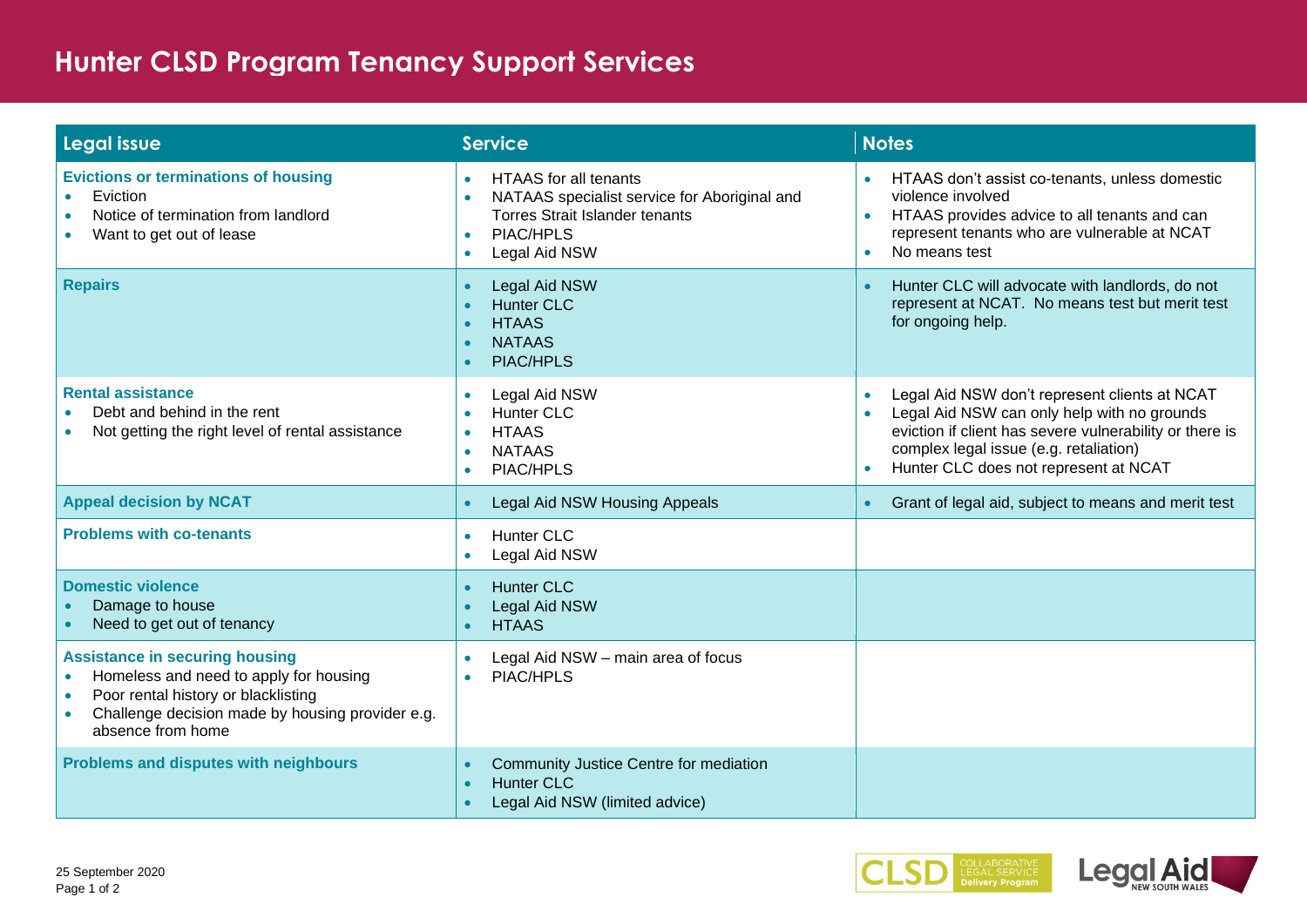## **Hunter CLSD Program Tenancy Support Services**

| Legal issue                                                                                                                                                                                                  | <b>Service</b>                                                                                                                                                                                          | <b>Notes</b>                                                                                                                                                                                                                                                                      |
|--------------------------------------------------------------------------------------------------------------------------------------------------------------------------------------------------------------|---------------------------------------------------------------------------------------------------------------------------------------------------------------------------------------------------------|-----------------------------------------------------------------------------------------------------------------------------------------------------------------------------------------------------------------------------------------------------------------------------------|
| <b>Evictions or terminations of housing</b><br>Eviction<br>$\bullet$<br>Notice of termination from landlord<br>$\bullet$<br>Want to get out of lease                                                         | <b>HTAAS</b> for all tenants<br>$\bullet$<br>NATAAS specialist service for Aboriginal and<br>$\bullet$<br><b>Torres Strait Islander tenants</b><br>PIAC/HPLS<br>$\bullet$<br>Legal Aid NSW<br>$\bullet$ | HTAAS don't assist co-tenants, unless domestic<br>violence involved<br>HTAAS provides advice to all tenants and can<br>$\bullet$<br>represent tenants who are vulnerable at NCAT<br>No means test<br>$\bullet$                                                                    |
| <b>Repairs</b>                                                                                                                                                                                               | Legal Aid NSW<br><b>C</b><br><b>Hunter CLC</b><br><b>C</b><br><b>HTAAS</b><br>$\bullet$<br><b>NATAAS</b><br>$\bullet$<br><b>PIAC/HPLS</b><br>$\bullet$                                                  | Hunter CLC will advocate with landlords, do not<br>$\bullet$<br>represent at NCAT. No means test but merit test<br>for ongoing help.                                                                                                                                              |
| <b>Rental assistance</b><br>Debt and behind in the rent<br>Not getting the right level of rental assistance                                                                                                  | Legal Aid NSW<br>$\bullet$<br><b>Hunter CLC</b><br><b>HTAAS</b><br><b>NATAAS</b><br>$\bullet$<br>PIAC/HPLS<br>$\bullet$                                                                                 | Legal Aid NSW don't represent clients at NCAT<br>$\bullet$<br>Legal Aid NSW can only help with no grounds<br>$\bullet$<br>eviction if client has severe vulnerability or there is<br>complex legal issue (e.g. retaliation)<br>Hunter CLC does not represent at NCAT<br>$\bullet$ |
| <b>Appeal decision by NCAT</b>                                                                                                                                                                               | <b>Legal Aid NSW Housing Appeals</b><br>$\bullet$                                                                                                                                                       | Grant of legal aid, subject to means and merit test<br>$\bullet$                                                                                                                                                                                                                  |
| <b>Problems with co-tenants</b>                                                                                                                                                                              | <b>Hunter CLC</b><br>$\bullet$<br>Legal Aid NSW<br>$\bullet$                                                                                                                                            |                                                                                                                                                                                                                                                                                   |
| <b>Domestic violence</b><br>Damage to house<br>Need to get out of tenancy                                                                                                                                    | <b>Hunter CLC</b><br><b>C</b><br>Legal Aid NSW<br><b>HTAAS</b><br>$\bullet$                                                                                                                             |                                                                                                                                                                                                                                                                                   |
| <b>Assistance in securing housing</b><br>Homeless and need to apply for housing<br>$\bullet$<br>Poor rental history or blacklisting<br>Challenge decision made by housing provider e.g.<br>absence from home | Legal Aid NSW - main area of focus<br>$\bullet$<br>PIAC/HPLS<br>$\bullet$                                                                                                                               |                                                                                                                                                                                                                                                                                   |
| Problems and disputes with neighbours                                                                                                                                                                        | Community Justice Centre for mediation<br><b>Hunter CLC</b><br>$\bullet$<br>Legal Aid NSW (limited advice)                                                                                              |                                                                                                                                                                                                                                                                                   |